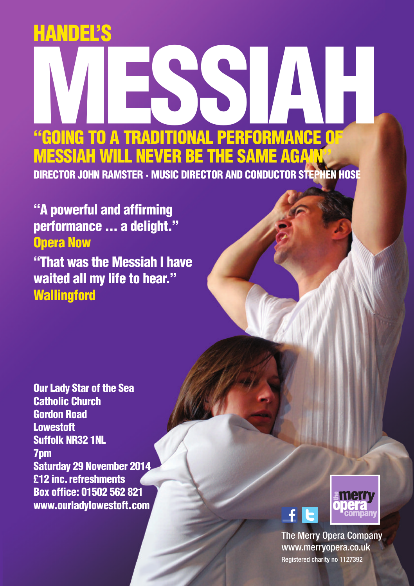## **HANDEL'S**

## **MESSIAH "GOING TO A TRADITIONAL PERFORMANCE OF MESSIAH WILL NEVER BE THE SAME AGAIN" DIRECTOR JOHN RAMSTER · MUSIC DIRECTOR AND CONDUCTOR STEPHEN HOSE**

**"A powerful and affirming performance ... a delight." Opera Now "That was the Messiah I have waited all my life to hear." Wallingford**

**Our Lady Star of the Sea Catholic Church Gordon Road Lowestoft Suffolk NR32 1NL 7pm Saturday 29 November 2014 £12 inc.refreshments Box office: 01502 562 821 www.ourladylowestoft.com**



The Merry Opera Company www.merryopera.co.uk Registered charity no 1127392